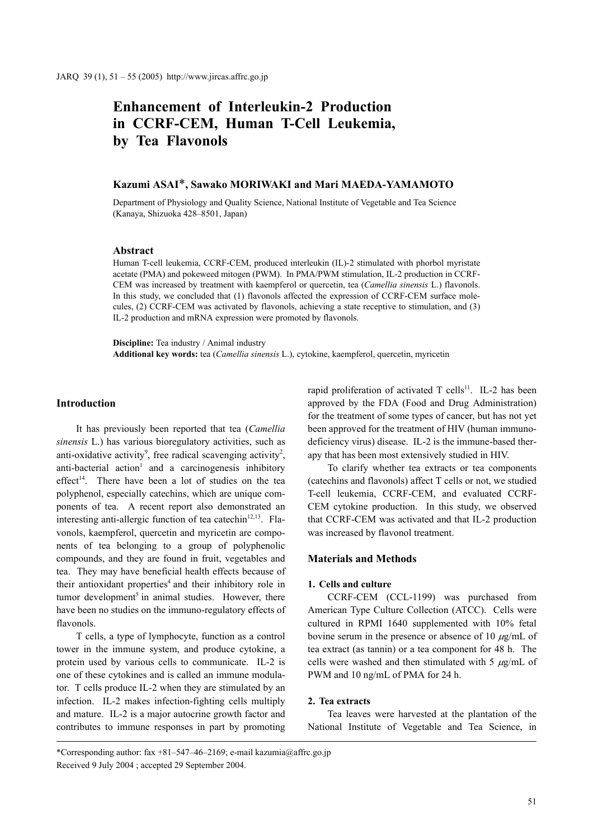# **Enhancement of Interleukin-2 Production in CCRF-CEM, Human T-Cell Leukemia, by Tea Flavonols**

# **Kazumi ASAI**\***, Sawako MORIWAKI and Mari MAEDA-YAMAMOTO**

Department of Physiology and Quality Science, National Institute of Vegetable and Tea Science (Kanaya, Shizuoka 428–8501, Japan)

#### **Abstract**

Human T-cell leukemia, CCRF-CEM, produced interleukin (IL)-2 stimulated with phorbol myristate acetate (PMA) and pokeweed mitogen (PWM). In PMA/PWM stimulation, IL-2 production in CCRF-CEM was increased by treatment with kaempferol or quercetin, tea (*Camellia sinensis* L.) flavonols. In this study, we concluded that (1) flavonols affected the expression of CCRF-CEM surface molecules, (2) CCRF-CEM was activated by flavonols, achieving a state receptive to stimulation, and (3) IL-2 production and mRNA expression were promoted by flavonols.

**Discipline:** Tea industry / Animal industry **Additional key words:** tea (*Camellia sinensis* L.), cytokine, kaempferol, quercetin, myricetin

# **Introduction**

It has previously been reported that tea (*Camellia sinensis* L.) has various bioregulatory activities, such as anti-oxidative activity<sup>9</sup>, free radical scavenging activity<sup>2</sup>, anti-bacterial action<sup>1</sup> and a carcinogenesis inhibitory effect<sup>14</sup>. There have been a lot of studies on the tea polyphenol, especially catechins, which are unique components of tea. A recent report also demonstrated an interesting anti-allergic function of tea catechin<sup>12,13</sup>. Flavonols, kaempferol, quercetin and myricetin are components of tea belonging to a group of polyphenolic compounds, and they are found in fruit, vegetables and tea. They may have beneficial health effects because of their antioxidant properties<sup>4</sup> and their inhibitory role in tumor development<sup>5</sup> in animal studies. However, there have been no studies on the immuno-regulatory effects of flavonols.

T cells, a type of lymphocyte, function as a control tower in the immune system, and produce cytokine, a protein used by various cells to communicate. IL-2 is one of these cytokines and is called an immune modulator. T cells produce IL-2 when they are stimulated by an infection. IL-2 makes infection-fighting cells multiply and mature. IL-2 is a major autocrine growth factor and contributes to immune responses in part by promoting rapid proliferation of activated T cells<sup>11</sup>. IL-2 has been approved by the FDA (Food and Drug Administration) for the treatment of some types of cancer, but has not yet been approved for the treatment of HIV (human immunodeficiency virus) disease. IL-2 is the immune-based therapy that has been most extensively studied in HIV.

To clarify whether tea extracts or tea components (catechins and flavonols) affect T cells or not, we studied T-cell leukemia, CCRF-CEM, and evaluated CCRF-CEM cytokine production. In this study, we observed that CCRF-CEM was activated and that IL-2 production was increased by flavonol treatment.

### **Materials and Methods**

### **1. Cells and culture**

CCRF-CEM (CCL-1199) was purchased from American Type Culture Collection (ATCC). Cells were cultured in RPMI 1640 supplemented with 10% fetal bovine serum in the presence or absence of 10  $\mu$ g/mL of tea extract (as tannin) or a tea component for 48 h. The cells were washed and then stimulated with 5  $\mu$ g/mL of PWM and 10 ng/mL of PMA for 24 h.

### **2. Tea extracts**

Tea leaves were harvested at the plantation of the National Institute of Vegetable and Tea Science, in

\*Corresponding author: fax +81–547–46–2169; e-mail kazumia@affrc.go.jp Received 9 July 2004 ; accepted 29 September 2004.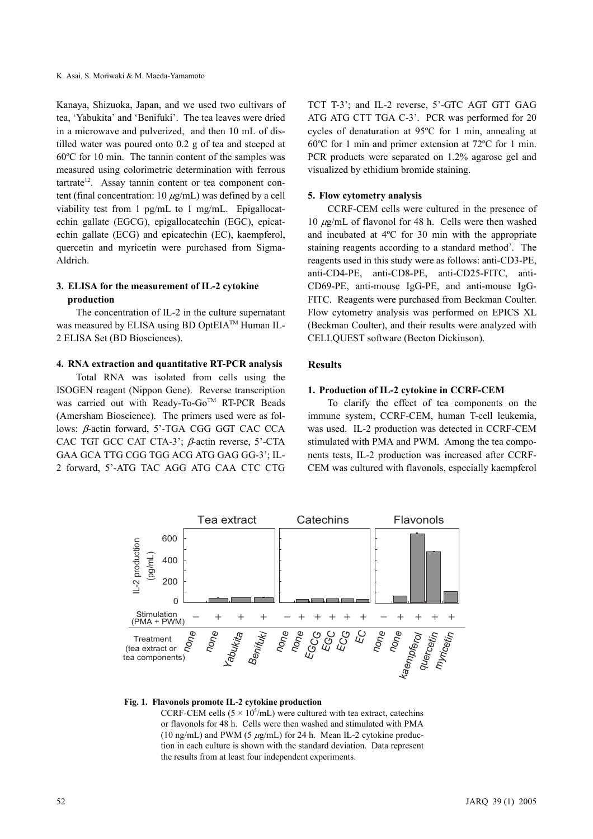Kanaya, Shizuoka, Japan, and we used two cultivars of tea, 'Yabukita' and 'Benifuki'. The tea leaves were dried in a microwave and pulverized, and then 10 mL of distilled water was poured onto 0.2 g of tea and steeped at 60ºC for 10 min. The tannin content of the samples was measured using colorimetric determination with ferrous  $t$ artrate<sup>12</sup>. Assay tannin content or tea component content (final concentration:  $10 \mu g/mL$ ) was defined by a cell viability test from 1 pg/mL to 1 mg/mL. Epigallocatechin gallate (EGCG), epigallocatechin (EGC), epicatechin gallate (ECG) and epicatechin (EC), kaempferol, quercetin and myricetin were purchased from Sigma-Aldrich.

# **3. ELISA for the measurement of IL-2 cytokine production**

The concentration of IL-2 in the culture supernatant was measured by ELISA using BD OptEIA<sup>TM</sup> Human IL-2 ELISA Set (BD Biosciences).

### **4. RNA extraction and quantitative RT-PCR analysis**

Total RNA was isolated from cells using the ISOGEN reagent (Nippon Gene). Reverse transcription was carried out with Ready-To-Go<sup>TM</sup> RT-PCR Beads (Amersham Bioscience). The primers used were as follows: β-actin forward, 5'-TGA CGG GGT CAC CCA CAC TGT GCC CAT CTA-3'; β-actin reverse, 5'-CTA GAA GCA TTG CGG TGG ACG ATG GAG GG-3'; IL-2 forward, 5'-ATG TAC AGG ATG CAA CTC CTG TCT T-3'; and IL-2 reverse, 5'-GTC AGT GTT GAG ATG ATG CTT TGA C-3'. PCR was performed for 20 cycles of denaturation at 95ºC for 1 min, annealing at 60ºC for 1 min and primer extension at 72ºC for 1 min. PCR products were separated on 1.2% agarose gel and visualized by ethidium bromide staining.

### **5. Flow cytometry analysis**

CCRF-CEM cells were cultured in the presence of 10  $\mu$ g/mL of flavonol for 48 h. Cells were then washed and incubated at 4ºC for 30 min with the appropriate staining reagents according to a standard method<sup>7</sup>. The reagents used in this study were as follows: anti-CD3-PE, anti-CD4-PE, anti-CD8-PE, anti-CD25-FITC, anti-CD69-PE, anti-mouse IgG-PE, and anti-mouse IgG-FITC. Reagents were purchased from Beckman Coulter. Flow cytometry analysis was performed on EPICS XL (Beckman Coulter), and their results were analyzed with CELLQUEST software (Becton Dickinson).

# **Results**

### **1. Production of IL-2 cytokine in CCRF-CEM**

To clarify the effect of tea components on the immune system, CCRF-CEM, human T-cell leukemia, was used. IL-2 production was detected in CCRF-CEM stimulated with PMA and PWM. Among the tea components tests, IL-2 production was increased after CCRF-CEM was cultured with flavonols, especially kaempferol



### **Fig. 1. Flavonols promote IL-2 cytokine production**

CCRF-CEM cells  $(5 \times 10^5/\text{mL})$  were cultured with tea extract, catechins or flavonols for 48 h. Cells were then washed and stimulated with PMA (10 ng/mL) and PWM (5  $\mu$ g/mL) for 24 h. Mean IL-2 cytokine production in each culture is shown with the standard deviation. Data represent the results from at least four independent experiments.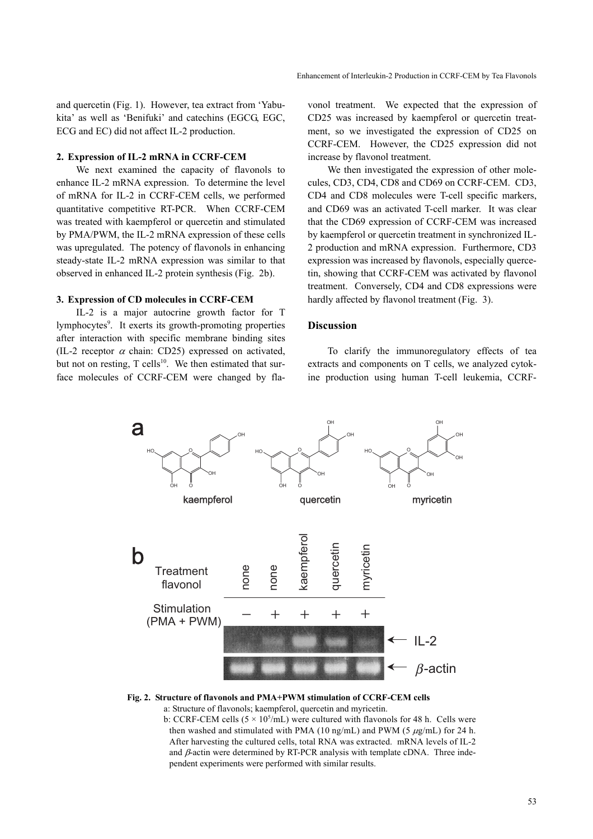and quercetin (Fig. 1). However, tea extract from 'Yabukita' as well as 'Benifuki' and catechins (EGCG, EGC, ECG and EC) did not affect IL-2 production.

### **2. Expression of IL-2 mRNA in CCRF-CEM**

We next examined the capacity of flavonols to enhance IL-2 mRNA expression. To determine the level of mRNA for IL-2 in CCRF-CEM cells, we performed quantitative competitive RT-PCR. When CCRF-CEM was treated with kaempferol or quercetin and stimulated by PMA/PWM, the IL-2 mRNA expression of these cells was upregulated. The potency of flavonols in enhancing steady-state IL-2 mRNA expression was similar to that observed in enhanced IL-2 protein synthesis (Fig. 2b).

### **3. Expression of CD molecules in CCRF-CEM**

IL-2 is a major autocrine growth factor for T lymphocytes<sup>9</sup>. It exerts its growth-promoting properties after interaction with specific membrane binding sites (IL-2 receptor  $\alpha$  chain: CD25) expressed on activated, but not on resting,  $T$  cells<sup>10</sup>. We then estimated that surface molecules of CCRF-CEM were changed by flavonol treatment. We expected that the expression of CD25 was increased by kaempferol or quercetin treatment, so we investigated the expression of CD25 on CCRF-CEM. However, the CD25 expression did not increase by flavonol treatment.

We then investigated the expression of other molecules, CD3, CD4, CD8 and CD69 on CCRF-CEM. CD3, CD4 and CD8 molecules were T-cell specific markers, and CD69 was an activated T-cell marker. It was clear that the CD69 expression of CCRF-CEM was increased by kaempferol or quercetin treatment in synchronized IL-2 production and mRNA expression. Furthermore, CD3 expression was increased by flavonols, especially quercetin, showing that CCRF-CEM was activated by flavonol treatment. Conversely, CD4 and CD8 expressions were hardly affected by flavonol treatment (Fig. 3).

### **Discussion**

To clarify the immunoregulatory effects of tea extracts and components on T cells, we analyzed cytokine production using human T-cell leukemia, CCRF-



### **Fig. 2. Structure of flavonols and PMA+PWM stimulation of CCRF-CEM cells**

a: Structure of flavonols; kaempferol, quercetin and myricetin.

b: CCRF-CEM cells  $(5 \times 10^5/\text{mL})$  were cultured with flavonols for 48 h. Cells were then washed and stimulated with PMA (10 ng/mL) and PWM (5  $\mu$ g/mL) for 24 h. After harvesting the cultured cells, total RNA was extracted. mRNA levels of IL-2 and  $\beta$ -actin were determined by RT-PCR analysis with template cDNA. Three independent experiments were performed with similar results.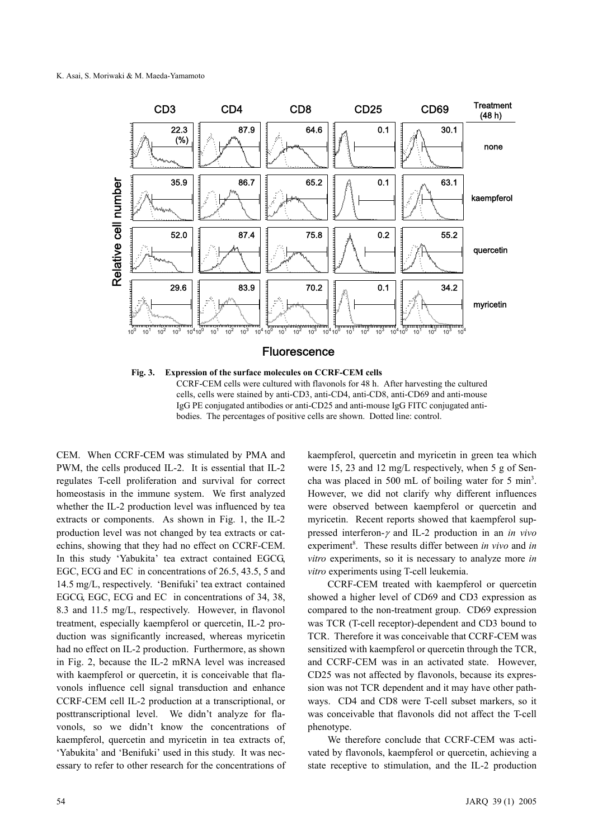

**Fig. 3. Expression of the surface molecules on CCRF-CEM cells**  CCRF-CEM cells were cultured with flavonols for 48 h. After harvesting the cultured cells, cells were stained by anti-CD3, anti-CD4, anti-CD8, anti-CD69 and anti-mouse IgG PE conjugated antibodies or anti-CD25 and anti-mouse IgG FITC conjugated antibodies. The percentages of positive cells are shown. Dotted line: control.

CEM. When CCRF-CEM was stimulated by PMA and PWM, the cells produced IL-2. It is essential that IL-2 regulates T-cell proliferation and survival for correct homeostasis in the immune system. We first analyzed whether the IL-2 production level was influenced by tea extracts or components. As shown in Fig. 1, the IL-2 production level was not changed by tea extracts or catechins, showing that they had no effect on CCRF-CEM. In this study 'Yabukita' tea extract contained EGCG, EGC, ECG and EC in concentrations of 26.5, 43.5, 5 and 14.5 mg/L, respectively. 'Benifuki' tea extract contained EGCG, EGC, ECG and EC in concentrations of 34, 38, 8.3 and 11.5 mg/L, respectively. However, in flavonol treatment, especially kaempferol or quercetin, IL-2 production was significantly increased, whereas myricetin had no effect on IL-2 production. Furthermore, as shown in Fig. 2, because the IL-2 mRNA level was increased with kaempferol or quercetin, it is conceivable that flavonols influence cell signal transduction and enhance CCRF-CEM cell IL-2 production at a transcriptional, or posttranscriptional level. We didn't analyze for flavonols, so we didn't know the concentrations of kaempferol, quercetin and myricetin in tea extracts of, 'Yabukita' and 'Benifuki' used in this study. It was necessary to refer to other research for the concentrations of kaempferol, quercetin and myricetin in green tea which were 15, 23 and 12 mg/L respectively, when 5 g of Sencha was placed in 500 mL of boiling water for 5 min<sup>3</sup>. However, we did not clarify why different influences were observed between kaempferol or quercetin and myricetin. Recent reports showed that kaempferol suppressed interferon-γ and IL-2 production in an *in vivo* experiment<sup>8</sup>. These results differ between *in vivo* and *in vitro* experiments, so it is necessary to analyze more *in vitro* experiments using T-cell leukemia.

CCRF-CEM treated with kaempferol or quercetin showed a higher level of CD69 and CD3 expression as compared to the non-treatment group. CD69 expression was TCR (T-cell receptor)-dependent and CD3 bound to TCR. Therefore it was conceivable that CCRF-CEM was sensitized with kaempferol or quercetin through the TCR, and CCRF-CEM was in an activated state. However, CD25 was not affected by flavonols, because its expression was not TCR dependent and it may have other pathways. CD4 and CD8 were T-cell subset markers, so it was conceivable that flavonols did not affect the T-cell phenotype.

We therefore conclude that CCRF-CEM was activated by flavonols, kaempferol or quercetin, achieving a state receptive to stimulation, and the IL-2 production